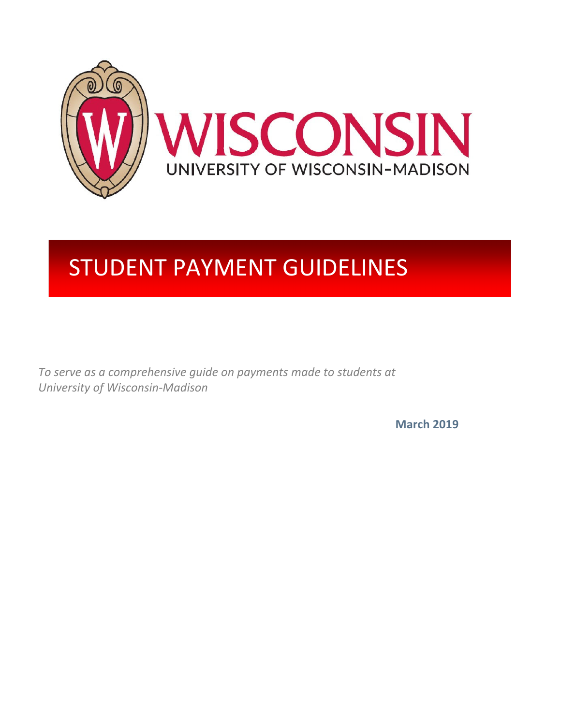

# STUDENT PAYMENT GUIDELINES

*To serve as a comprehensive guide on payments made to students at University of Wisconsin‐Madison*

**March 2019**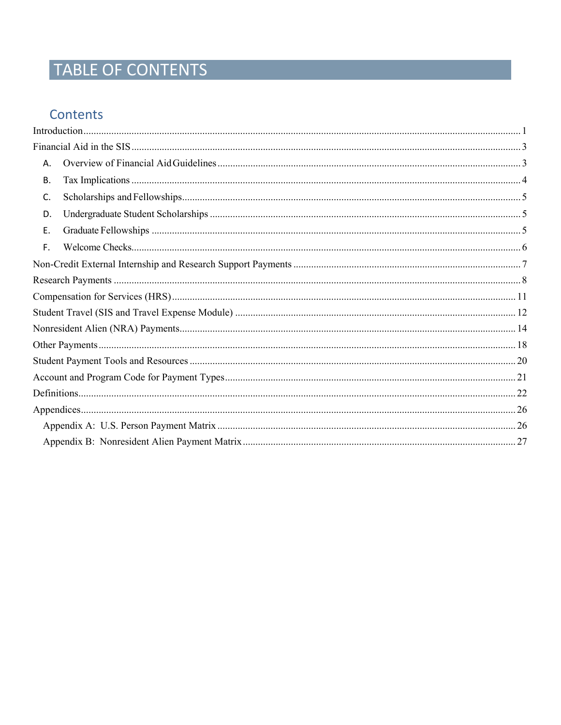# TABLE OF CONTENTS

### Contents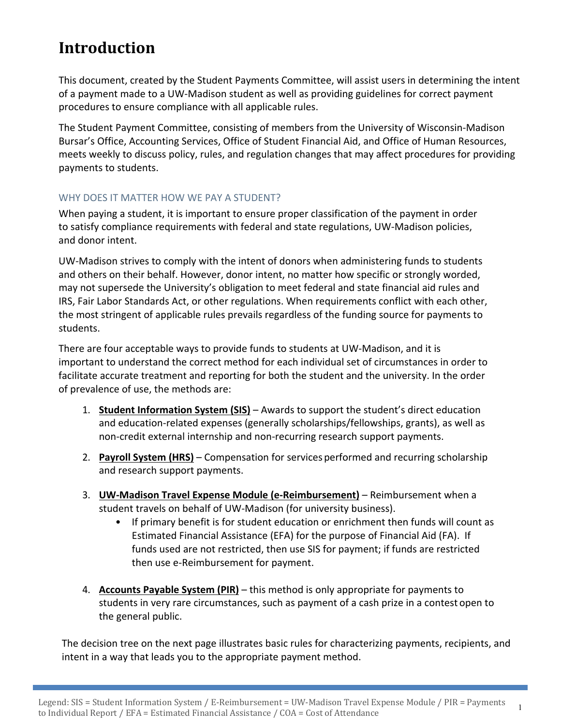# **Introduction**

This document, created by the Student Payments Committee, will assist users in determining the intent of a payment made to a UW‐Madison student as well as providing guidelines for correct payment procedures to ensure compliance with all applicable rules.

The Student Payment Committee, consisting of members from the University of Wisconsin‐Madison Bursar's Office, Accounting Services, Office of Student Financial Aid, and Office of Human Resources, meets weekly to discuss policy, rules, and regulation changes that may affect procedures for providing payments to students.

### WHY DOES IT MATTER HOW WE PAY A STUDENT?

When paying a student, it is important to ensure proper classification of the payment in order to satisfy compliance requirements with federal and state regulations, UW‐Madison policies, and donor intent.

UW‐Madison strives to comply with the intent of donors when administering funds to students and others on their behalf. However, donor intent, no matter how specific or strongly worded, may not supersede the University's obligation to meet federal and state financial aid rules and IRS, Fair Labor Standards Act, or other regulations. When requirements conflict with each other, the most stringent of applicable rules prevails regardless of the funding source for payments to students.

There are four acceptable ways to provide funds to students at UW‐Madison, and it is important to understand the correct method for each individual set of circumstances in order to facilitate accurate treatment and reporting for both the student and the university. In the order of prevalence of use, the methods are:

- 1. **Student Information System (SIS)** Awards to support the student's direct education and education‐related expenses (generally scholarships/fellowships, grants), as well as non‐credit external internship and non‐recurring research support payments.
- 2. **Payroll System (HRS)** Compensation for services performed and recurring scholarship and research support payments.
- 3. **UW‐Madison Travel Expense Module (e‐Reimbursement)** Reimbursement when a student travels on behalf of UW‐Madison (for university business).
	- If primary benefit is for student education or enrichment then funds will count as Estimated Financial Assistance (EFA) for the purpose of Financial Aid (FA). If funds used are not restricted, then use SIS for payment; if funds are restricted then use e‐Reimbursement for payment.
- 4. **Accounts Payable System (PIR)** this method is only appropriate for payments to students in very rare circumstances, such as payment of a cash prize in a contest open to the general public.

The decision tree on the next page illustrates basic rules for characterizing payments, recipients, and intent in a way that leads you to the appropriate payment method.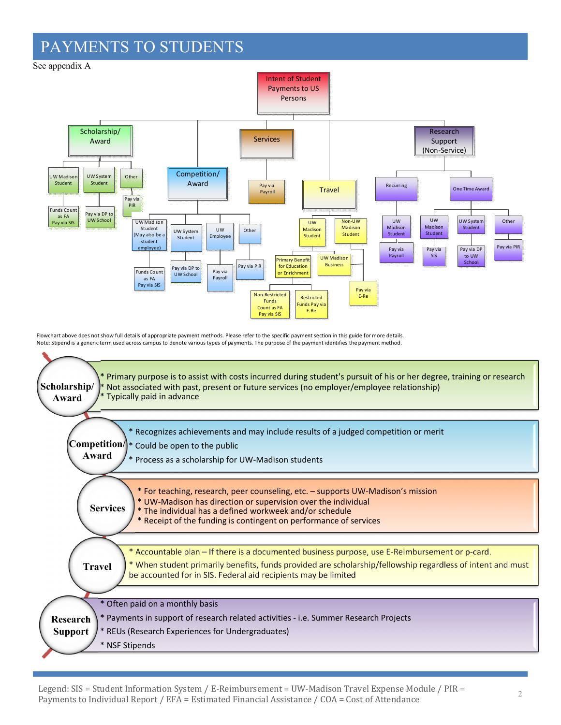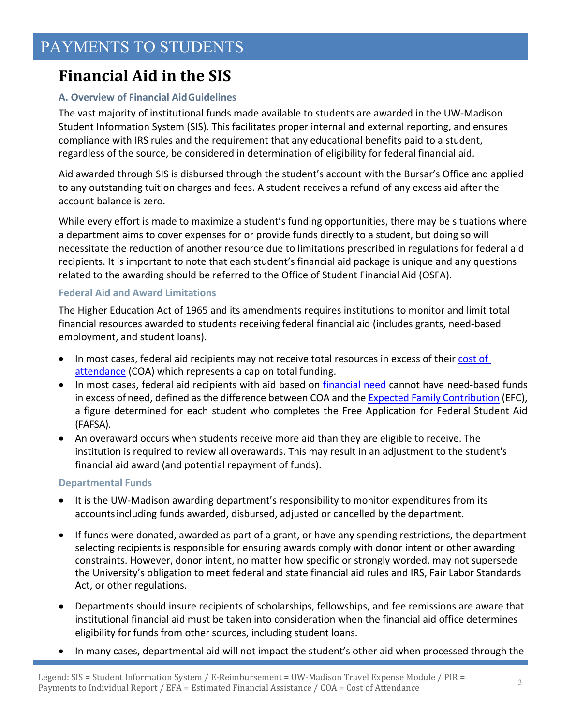# **Financial Aid in the SIS**

### **A. Overview of Financial AidGuidelines**

The vast majority of institutional funds made available to students are awarded in the UW‐Madison Student Information System (SIS). This facilitates proper internal and external reporting, and ensures compliance with IRS rules and the requirement that any educational benefits paid to a student, regardless of the source, be considered in determination of eligibility for federal financial aid.

Aid awarded through SIS is disbursed through the student's account with the Bursar's Office and applied to any outstanding tuition charges and fees. A student receives a refund of any excess aid after the account balance is zero.

While every effort is made to maximize a student's funding opportunities, there may be situations where a department aims to cover expenses for or provide funds directly to a student, but doing so will necessitate the reduction of another resource due to limitations prescribed in regulations for federal aid recipients. It is important to note that each student's financial aid package is unique and any questions related to the awarding should be referred to the Office of Student Financial Aid (OSFA).

### **Federal Aid and Award Limitations**

The Higher Education Act of 1965 and its amendments requires institutions to monitor and limit total financial resources awarded to students receiving federal financial aid (includes grants, need‐based employment, and student loans).

- In most cases, federal aid recipients may not receive total resources in excess of their cost of attendance (COA) which represents a cap on total funding.
- In most cases, federal aid recipients with aid based on financial need cannot have need-based funds in excess of need, defined as the difference between COA and the Expected Family Contribution (EFC), a figure determined for each student who completes the Free Application for Federal Student Aid (FAFSA).
- An overaward occurs when students receive more aid than they are eligible to receive. The institution is required to review all overawards. This may result in an adjustment to the student's financial aid award (and potential repayment of funds).

### **Departmental Funds**

- It is the UW-Madison awarding department's responsibility to monitor expenditures from its accountsincluding funds awarded, disbursed, adjusted or cancelled by the department.
- If funds were donated, awarded as part of a grant, or have any spending restrictions, the department selecting recipients is responsible for ensuring awards comply with donor intent or other awarding constraints. However, donor intent, no matter how specific or strongly worded, may not supersede the University's obligation to meet federal and state financial aid rules and IRS, Fair Labor Standards Act, or other regulations.
- Departments should insure recipients of scholarships, fellowships, and fee remissions are aware that institutional financial aid must be taken into consideration when the financial aid office determines eligibility for funds from other sources, including student loans.
- In many cases, departmental aid will not impact the student's other aid when processed through the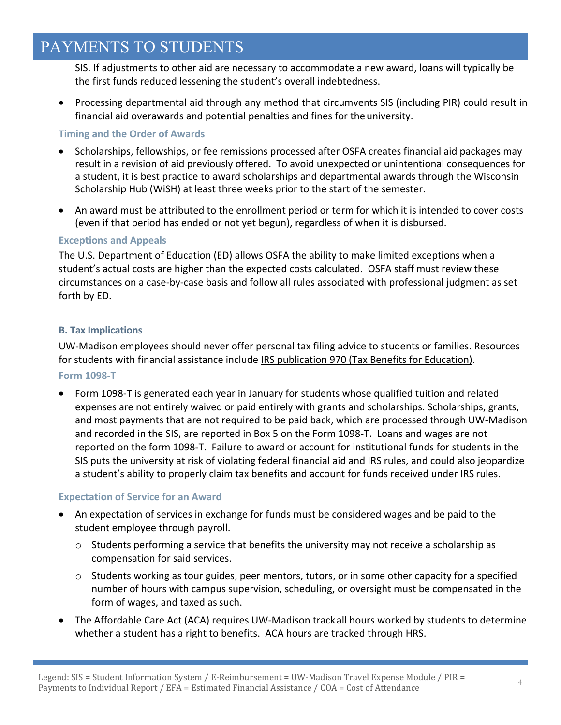SIS. If adjustments to other aid are necessary to accommodate a new award, loans will typically be the first funds reduced lessening the student's overall indebtedness.

 Processing departmental aid through any method that circumvents SIS (including PIR) could result in financial aid overawards and potential penalties and fines for the university.

### **Timing and the Order of Awards**

- Scholarships, fellowships, or fee remissions processed after OSFA creates financial aid packages may result in a revision of aid previously offered. To avoid unexpected or unintentional consequences for a student, it is best practice to award scholarships and departmental awards through the Wisconsin Scholarship Hub (WiSH) at least three weeks prior to the start of the semester.
- An award must be attributed to the enrollment period or term for which it is intended to cover costs (even if that period has ended or not yet begun), regardless of when it is disbursed.

#### **Exceptions and Appeals**

The U.S. Department of Education (ED) allows OSFA the ability to make limited exceptions when a student's actual costs are higher than the expected costs calculated. OSFA staff must review these circumstances on a case‐by‐case basis and follow all rules associated with professional judgment as set forth by ED.

### **B. Tax Implications**

UW‐Madison employees should never offer personal tax filing advice to students or families. Resources for students with financial assistance include IRS publication 970 (Tax Benefits for Education). **Form 1098‐T**

 Form 1098‐T is generated each year in January for students whose qualified tuition and related expenses are not entirely waived or paid entirely with grants and scholarships. Scholarships, grants, and most payments that are not required to be paid back, which are processed through UW‐Madison and recorded in the SIS, are reported in Box 5 on the Form 1098‐T. Loans and wages are not reported on the form 1098‐T. Failure to award or account for institutional funds for students in the SIS puts the university at risk of violating federal financial aid and IRS rules, and could also jeopardize a student's ability to properly claim tax benefits and account for funds received under IRS rules.

#### **Expectation of Service for an Award**

- An expectation of services in exchange for funds must be considered wages and be paid to the student employee through payroll.
	- $\circ$  Students performing a service that benefits the university may not receive a scholarship as compensation for said services.
	- $\circ$  Students working as tour guides, peer mentors, tutors, or in some other capacity for a specified number of hours with campus supervision, scheduling, or oversight must be compensated in the form of wages, and taxed as such.
- The Affordable Care Act (ACA) requires UW‐Madison trackall hours worked by students to determine whether a student has a right to benefits. ACA hours are tracked through HRS.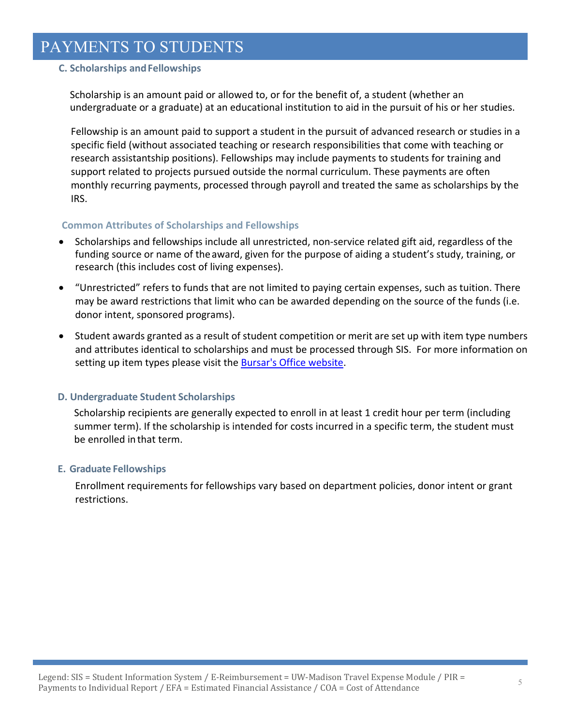### **C. Scholarships andFellowships**

Scholarship is an amount paid or allowed to, or for the benefit of, a student (whether an undergraduate or a graduate) at an educational institution to aid in the pursuit of his or her studies.

Fellowship is an amount paid to support a student in the pursuit of advanced research or studies in a specific field (without associated teaching or research responsibilities that come with teaching or research assistantship positions). Fellowships may include payments to students for training and support related to projects pursued outside the normal curriculum. These payments are often monthly recurring payments, processed through payroll and treated the same as scholarships by the IRS.

#### **Common Attributes of Scholarships and Fellowships**

- Scholarships and fellowships include all unrestricted, non‐service related gift aid, regardless of the funding source or name of theaward, given for the purpose of aiding a student's study, training, or research (this includes cost of living expenses).
- "Unrestricted" refers to funds that are not limited to paying certain expenses, such as tuition. There may be award restrictions that limit who can be awarded depending on the source of the funds (i.e. donor intent, sponsored programs).
- Student awards granted as a result of student competition or merit are set up with item type numbers and attributes identical to scholarships and must be processed through SIS. For more information on setting up item types please visit the Bursar's Office website.

#### **D. Undergraduate Student Scholarships**

Scholarship recipients are generally expected to enroll in at least 1 credit hour per term (including summer term). If the scholarship is intended for costs incurred in a specific term, the student must be enrolled inthat term.

#### **E. Graduate Fellowships**

Enrollment requirements for fellowships vary based on department policies, donor intent or grant restrictions.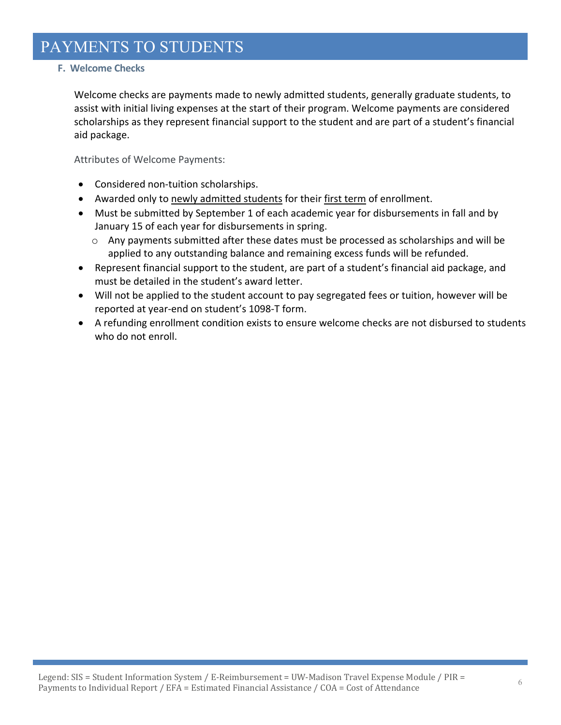### **F. Welcome Checks**

Welcome checks are payments made to newly admitted students, generally graduate students, to assist with initial living expenses at the start of their program. Welcome payments are considered scholarships as they represent financial support to the student and are part of a student's financial aid package.

Attributes of Welcome Payments:

- Considered non-tuition scholarships.
- Awarded only to newly admitted students for their first term of enrollment.
- Must be submitted by September 1 of each academic year for disbursements in fall and by January 15 of each year for disbursements in spring.
	- $\circ$  Any payments submitted after these dates must be processed as scholarships and will be applied to any outstanding balance and remaining excess funds will be refunded.
- Represent financial support to the student, are part of a student's financial aid package, and must be detailed in the student's award letter.
- Will not be applied to the student account to pay segregated fees or tuition, however will be reported at year‐end on student's 1098‐T form.
- A refunding enrollment condition exists to ensure welcome checks are not disbursed to students who do not enroll.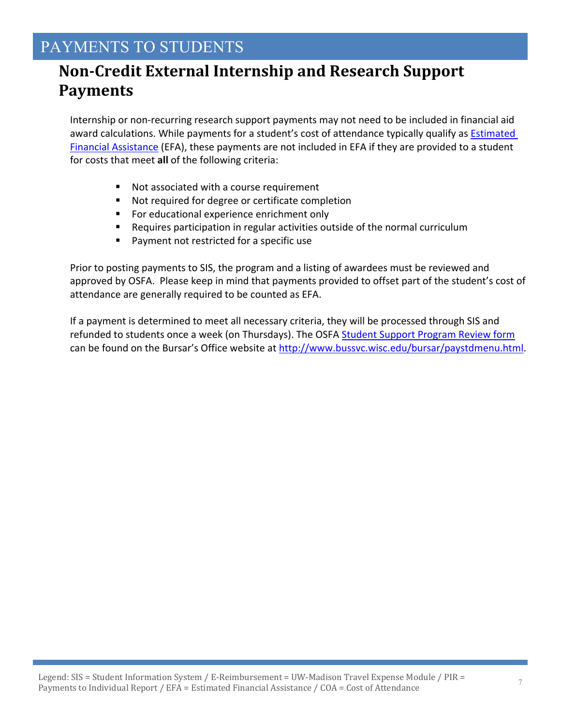# **Non‐Credit External Internship and Research Support Payments**

Internship or non‐recurring research support payments may not need to be included in financial aid award calculations. While payments for a student's cost of attendance typically qualify as Estimated Financial Assistance (EFA), these payments are not included in EFA if they are provided to a student for costs that meet **all** of the following criteria:

- Not associated with a course requirement
- Not required for degree or certificate completion
- For educational experience enrichment only
- Requires participation in regular activities outside of the normal curriculum
- **Payment not restricted for a specific use**

Prior to posting payments to SIS, the program and a listing of awardees must be reviewed and approved by OSFA. Please keep in mind that payments provided to offset part of the student's cost of attendance are generally required to be counted as EFA.

If a payment is determined to meet all necessary criteria, they will be processed through SIS and refunded to students once a week (on Thursdays). The OSFA Student Support Program Review form can be found on the Bursar's Office website at http://www.bussvc.wisc.edu/bursar/paystdmenu.html.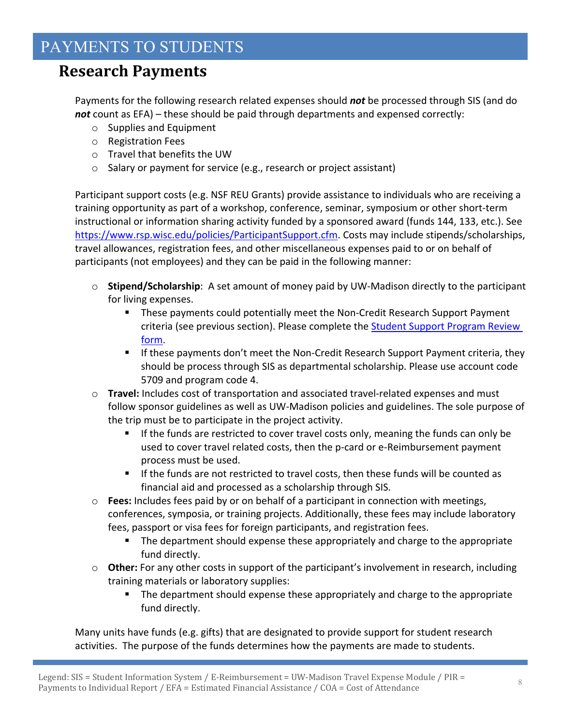### **Research Payments**

Payments for the following research related expenses should *not* be processed through SIS (and do *not* count as EFA) – these should be paid through departments and expensed correctly:

- o Supplies and Equipment
- o Registration Fees
- o Travel that benefits the UW
- o Salary or payment for service (e.g., research or project assistant)

Participant support costs (e.g. NSF REU Grants) provide assistance to individuals who are receiving a training opportunity as part of a workshop, conference, seminar, symposium or other short‐term instructional or information sharing activity funded by a sponsored award (funds 144, 133, etc.). See https://www.rsp.wisc.edu/policies/ParticipantSupport.cfm. Costs may include stipends/scholarships, travel allowances, registration fees, and other miscellaneous expenses paid to or on behalf of participants (not employees) and they can be paid in the following manner:

- o **Stipend/Scholarship**: A set amount of money paid by UW‐Madison directly to the participant for living expenses.
	- These payments could potentially meet the Non-Credit Research Support Payment criteria (see previous section). Please complete the Student Support Program Review form.
	- If these payments don't meet the Non-Credit Research Support Payment criteria, they should be process through SIS as departmental scholarship. Please use account code 5709 and program code 4.
- o **Travel:** Includes cost of transportation and associated travel‐related expenses and must follow sponsor guidelines as well as UW‐Madison policies and guidelines. The sole purpose of the trip must be to participate in the project activity.
	- If the funds are restricted to cover travel costs only, meaning the funds can only be used to cover travel related costs, then the p-card or e-Reimbursement payment process must be used.
	- If the funds are not restricted to travel costs, then these funds will be counted as financial aid and processed as a scholarship through SIS.
- o **Fees:** Includes fees paid by or on behalf of a participant in connection with meetings, conferences, symposia, or training projects. Additionally, these fees may include laboratory fees, passport or visa fees for foreign participants, and registration fees.
	- The department should expense these appropriately and charge to the appropriate fund directly.
- o **Other:** For any other costs in support of the participant's involvement in research, including training materials or laboratory supplies:
	- The department should expense these appropriately and charge to the appropriate fund directly.

Many units have funds (e.g. gifts) that are designated to provide support for student research activities. The purpose of the funds determines how the payments are made to students.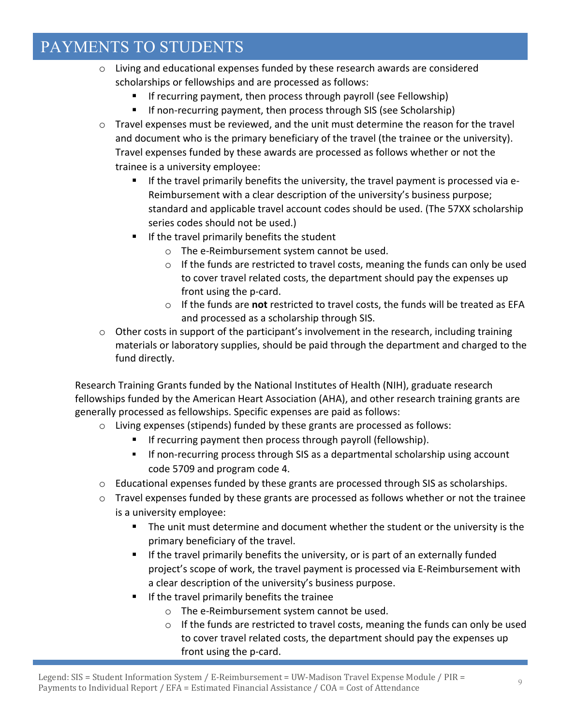- o Living and educational expenses funded by these research awards are considered scholarships or fellowships and are processed as follows:
	- If recurring payment, then process through payroll (see Fellowship)
	- If non-recurring payment, then process through SIS (see Scholarship)
- $\circ$  Travel expenses must be reviewed, and the unit must determine the reason for the travel and document who is the primary beneficiary of the travel (the trainee or the university). Travel expenses funded by these awards are processed as follows whether or not the trainee is a university employee:
	- If the travel primarily benefits the university, the travel payment is processed via e-Reimbursement with a clear description of the university's business purpose; standard and applicable travel account codes should be used. (The 57XX scholarship series codes should not be used.)
	- **If the travel primarily benefits the student** 
		- o The e‐Reimbursement system cannot be used.
		- $\circ$  If the funds are restricted to travel costs, meaning the funds can only be used to cover travel related costs, the department should pay the expenses up front using the p‐card.
		- o If the funds are **not** restricted to travel costs, the funds will be treated as EFA and processed as a scholarship through SIS.
- o Other costs in support of the participant's involvement in the research, including training materials or laboratory supplies, should be paid through the department and charged to the fund directly.

Research Training Grants funded by the National Institutes of Health (NIH), graduate research fellowships funded by the American Heart Association (AHA), and other research training grants are generally processed as fellowships. Specific expenses are paid as follows:

- o Living expenses (stipends) funded by these grants are processed as follows:
	- If recurring payment then process through payroll (fellowship).
	- If non‐recurring process through SIS as a departmental scholarship using account code 5709 and program code 4.
- o Educational expenses funded by these grants are processed through SIS as scholarships.
- o Travel expenses funded by these grants are processed as follows whether or not the trainee is a university employee:
	- The unit must determine and document whether the student or the university is the primary beneficiary of the travel.
	- If the travel primarily benefits the university, or is part of an externally funded project's scope of work, the travel payment is processed via E‐Reimbursement with a clear description of the university's business purpose.
	- If the travel primarily benefits the trainee
		- o The e‐Reimbursement system cannot be used.
		- $\circ$  If the funds are restricted to travel costs, meaning the funds can only be used to cover travel related costs, the department should pay the expenses up front using the p‐card.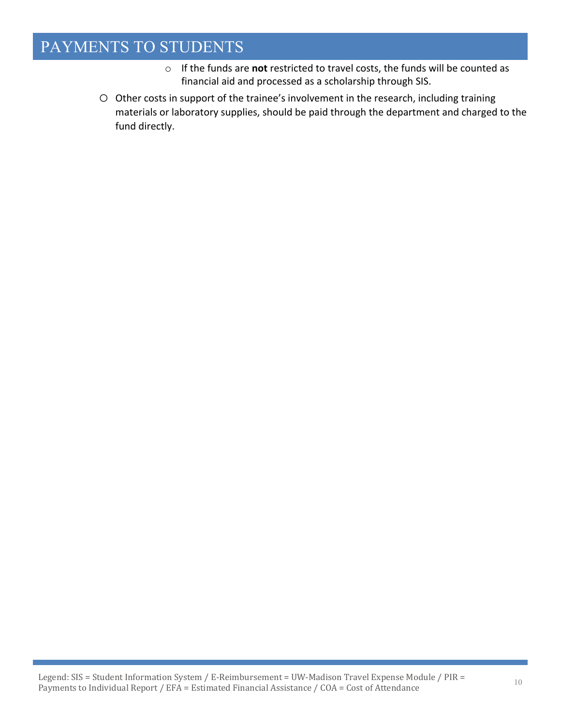- o If the funds are **not** restricted to travel costs, the funds will be counted as financial aid and processed as a scholarship through SIS.
- o Other costs in support of the trainee's involvement in the research, including training materials or laboratory supplies, should be paid through the department and charged to the fund directly.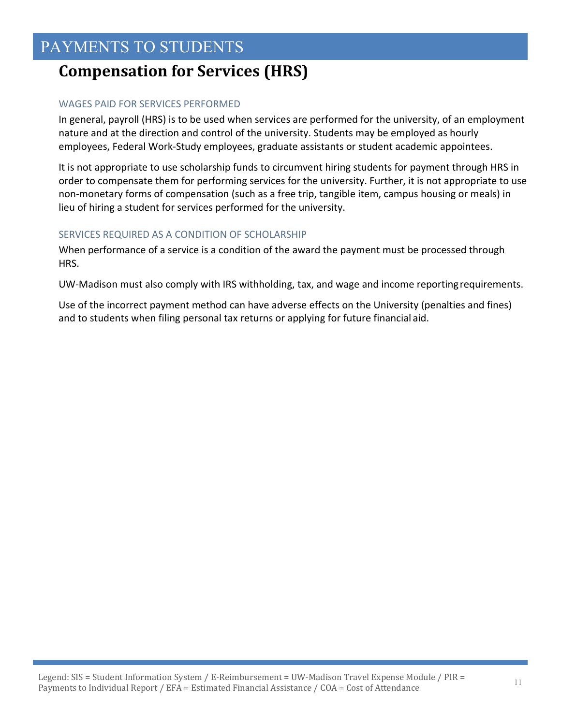# **Compensation for Services (HRS)**

### WAGES PAID FOR SERVICES PERFORMED

In general, payroll (HRS) is to be used when services are performed for the university, of an employment nature and at the direction and control of the university. Students may be employed as hourly employees, Federal Work‐Study employees, graduate assistants or student academic appointees.

It is not appropriate to use scholarship funds to circumvent hiring students for payment through HRS in order to compensate them for performing services for the university. Further, it is not appropriate to use non‐monetary forms of compensation (such as a free trip, tangible item, campus housing or meals) in lieu of hiring a student for services performed for the university.

### SERVICES REQUIRED AS A CONDITION OF SCHOLARSHIP

When performance of a service is a condition of the award the payment must be processed through HRS.

UW‐Madison must also comply with IRS withholding, tax, and wage and income reportingrequirements.

Use of the incorrect payment method can have adverse effects on the University (penalties and fines) and to students when filing personal tax returns or applying for future financial aid.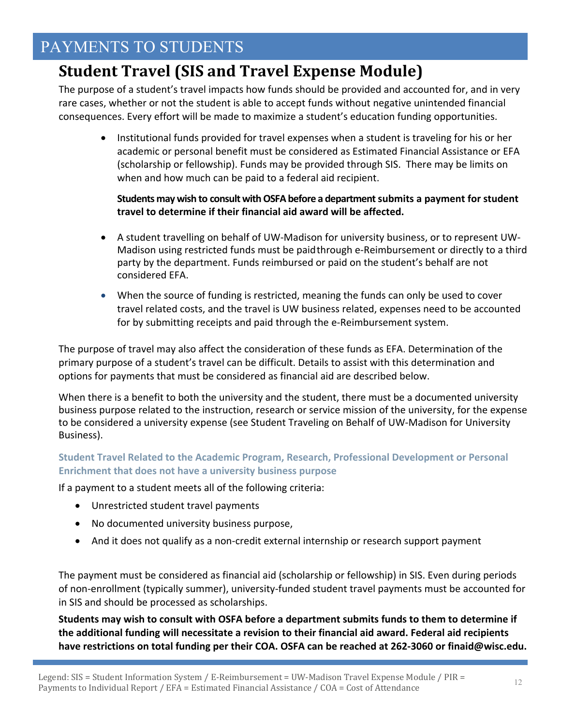# **Student Travel (SIS and Travel Expense Module)**

The purpose of a student's travel impacts how funds should be provided and accounted for, and in very rare cases, whether or not the student is able to accept funds without negative unintended financial consequences. Every effort will be made to maximize a student's education funding opportunities.

• Institutional funds provided for travel expenses when a student is traveling for his or her academic or personal benefit must be considered as Estimated Financial Assistance or EFA (scholarship or fellowship). Funds may be provided through SIS. There may be limits on when and how much can be paid to a federal aid recipient.

### **Students maywish to consultwithOSFAbefore a departmentsubmits a payment for student travel to determine if their financial aid award will be affected.**

- A student travelling on behalf of UW‐Madison for university business, or to represent UW‐ Madison using restricted funds must be paidthrough e‐Reimbursement or directly to a third party by the department. Funds reimbursed or paid on the student's behalf are not considered EFA.
- When the source of funding is restricted, meaning the funds can only be used to cover travel related costs, and the travel is UW business related, expenses need to be accounted for by submitting receipts and paid through the e‐Reimbursement system.

The purpose of travel may also affect the consideration of these funds as EFA. Determination of the primary purpose of a student's travel can be difficult. Details to assist with this determination and options for payments that must be considered as financial aid are described below.

When there is a benefit to both the university and the student, there must be a documented university business purpose related to the instruction, research or service mission of the university, for the expense to be considered a university expense (see Student Traveling on Behalf of UW‐Madison for University Business).

### **Student Travel Related to the Academic Program, Research, Professional Development or Personal Enrichment that does not have a university business purpose**

If a payment to a student meets all of the following criteria:

- Unrestricted student travel payments
- No documented university business purpose,
- And it does not qualify as a non-credit external internship or research support payment

The payment must be considered as financial aid (scholarship or fellowship) in SIS. Even during periods of non‐enrollment (typically summer), university‐funded student travel payments must be accounted for in SIS and should be processed as scholarships.

**Students may wish to consult with OSFA before a department submits funds to them to determine if the additional funding will necessitate a revision to their financial aid award. Federal aid recipients** have restrictions on total funding per their COA. OSFA can be reached at 262-3060 or finaid@wisc.edu.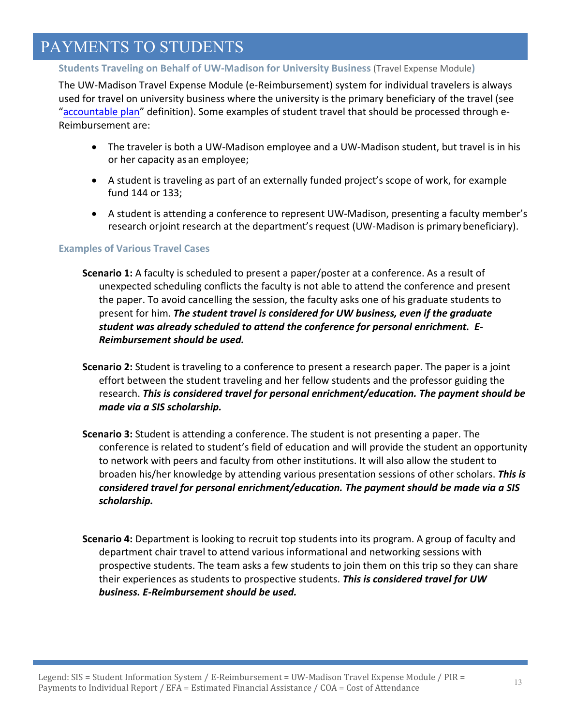### **Students Traveling on Behalf of UW‐Madison for University Business** (Travel Expense Module**)**

The UW‐Madison Travel Expense Module (e‐Reimbursement) system for individual travelers is always used for travel on university business where the university is the primary beneficiary of the travel (see "accountable plan" definition). Some examples of student travel that should be processed through e‐ Reimbursement are:

- The traveler is both a UW‐Madison employee and a UW‐Madison student, but travel is in his or her capacity as an employee;
- A student is traveling as part of an externally funded project's scope of work, for example fund 144 or 133;
- A student is attending a conference to represent UW‐Madison, presenting a faculty member's research orjoint research at the department's request (UW‐Madison is primary beneficiary).

#### **Examples of Various Travel Cases**

- **Scenario 1:** A faculty is scheduled to present a paper/poster at a conference. As a result of unexpected scheduling conflicts the faculty is not able to attend the conference and present the paper. To avoid cancelling the session, the faculty asks one of his graduate students to present for him. *The student travel is considered for UW business, even if the graduate student was already scheduled to attend the conference for personal enrichment. E‐ Reimbursement should be used.*
- **Scenario 2:** Student is traveling to a conference to present a research paper. The paper is a joint effort between the student traveling and her fellow students and the professor guiding the research. *This is considered travel for personal enrichment/education. The payment should be made via a SIS scholarship.*
- **Scenario 3:** Student is attending a conference. The student is not presenting a paper. The conference is related to student's field of education and will provide the student an opportunity to network with peers and faculty from other institutions. It will also allow the student to broaden his/her knowledge by attending various presentation sessions of other scholars. *This is considered travel for personal enrichment/education. The payment should be made via a SIS scholarship.*
- **Scenario 4:** Department is looking to recruit top students into its program. A group of faculty and department chair travel to attend various informational and networking sessions with prospective students. The team asks a few students to join them on this trip so they can share their experiences as students to prospective students. *This is considered travel for UW business. E‐Reimbursement should be used.*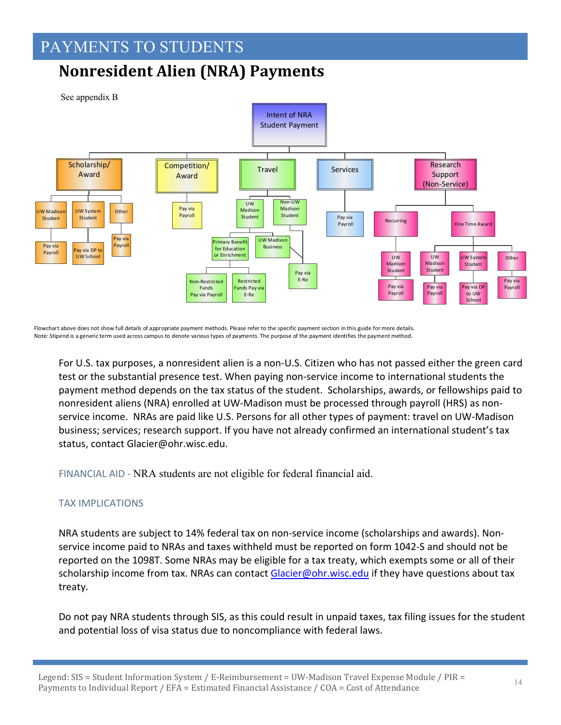# **Nonresident Alien (NRA) Payments**



Flowchart above does not show full details of appropriate payment methods. Please refer to the specific payment section in this guide for more details. Note: Stipend is a generic term used across campus to denote various types of payments. The purpose of the payment identifies the payment method.

For U.S. tax purposes, a nonresident alien is a non‐U.S. Citizen who has not passed either the green card test or the substantial presence test. When paying non‐service income to international students the payment method depends on the tax status of the student. Scholarships, awards, or fellowships paid to nonresident aliens (NRA) enrolled at UW‐Madison must be processed through payroll (HRS) as non‐ service income. NRAs are paid like U.S. Persons for all other types of payment: travel on UW‐Madison business; services; research support. If you have not already confirmed an international student's tax status, contact Glacier@ohr.wisc.edu.

FINANCIAL AID ‐ NRA students are not eligible for federal financial aid.

### TAX IMPLICATIONS

NRA students are subject to 14% federal tax on non‐service income (scholarships and awards). Non‐ service income paid to NRAs and taxes withheld must be reported on form 1042‐S and should not be reported on the 1098T. Some NRAs may be eligible for a tax treaty, which exempts some or all of their scholarship income from tax. NRAs can contact Glacier@ohr.wisc.edu if they have questions about tax treaty.

Do not pay NRA students through SIS, as this could result in unpaid taxes, tax filing issues for the student and potential loss of visa status due to noncompliance with federal laws.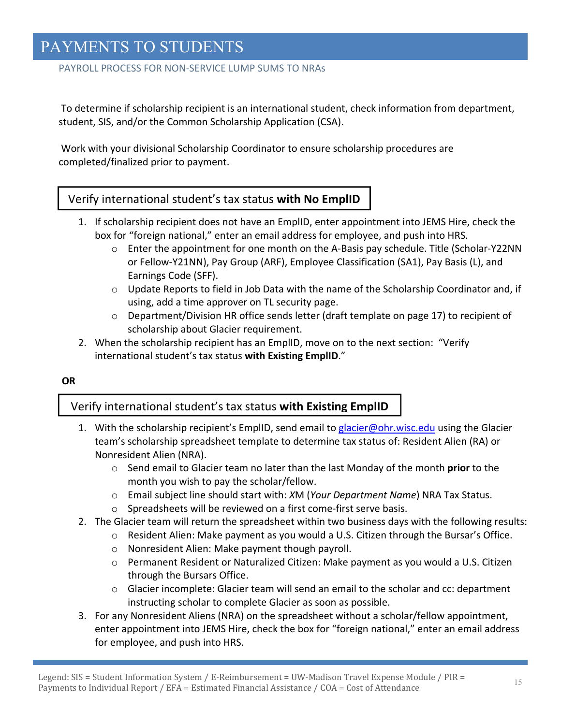### PAYROLL PROCESS FOR NON‐SERVICE LUMP SUMS TO NRAs

To determine if scholarship recipient is an international student, check information from department, student, SIS, and/or the Common Scholarship Application (CSA).

Work with your divisional Scholarship Coordinator to ensure scholarship procedures are completed/finalized prior to payment.

### Verify international student's tax status **with No EmplID**

- 1. If scholarship recipient does not have an EmplID, enter appointment into JEMS Hire, check the box for "foreign national," enter an email address for employee, and push into HRS.
	- o Enter the appointment for one month on the A‐Basis pay schedule. Title (Scholar‐Y22NN or Fellow‐Y21NN), Pay Group (ARF), Employee Classification (SA1), Pay Basis (L), and Earnings Code (SFF).
	- $\circ$  Update Reports to field in Job Data with the name of the Scholarship Coordinator and, if using, add a time approver on TL security page.
	- $\circ$  Department/Division HR office sends letter (draft template on page 17) to recipient of scholarship about Glacier requirement.
- 2. When the scholarship recipient has an EmplID, move on to the next section: "Verify international student's tax status **with Existing EmplID**."

#### **OR**

### Verify international student's tax status **with Existing EmplID**

- 1. With the scholarship recipient's EmplID, send email to glacier@ohr.wisc.edu using the Glacier team's scholarship spreadsheet template to determine tax status of: Resident Alien (RA) or Nonresident Alien (NRA).
	- o Send email to Glacier team no later than the last Monday of the month **prior** to the month you wish to pay the scholar/fellow.
	- o Email subject line should start with: *X*M (*Your Department Name*) NRA Tax Status.
	- o Spreadsheets will be reviewed on a first come‐first serve basis.
- 2. The Glacier team will return the spreadsheet within two business days with the following results:
	- $\circ$  Resident Alien: Make payment as you would a U.S. Citizen through the Bursar's Office.
	- o Nonresident Alien: Make payment though payroll.
	- o Permanent Resident or Naturalized Citizen: Make payment as you would a U.S. Citizen through the Bursars Office.
	- $\circ$  Glacier incomplete: Glacier team will send an email to the scholar and cc: department instructing scholar to complete Glacier as soon as possible.
- 3. For any Nonresident Aliens (NRA) on the spreadsheet without a scholar/fellow appointment, enter appointment into JEMS Hire, check the box for "foreign national," enter an email address for employee, and push into HRS.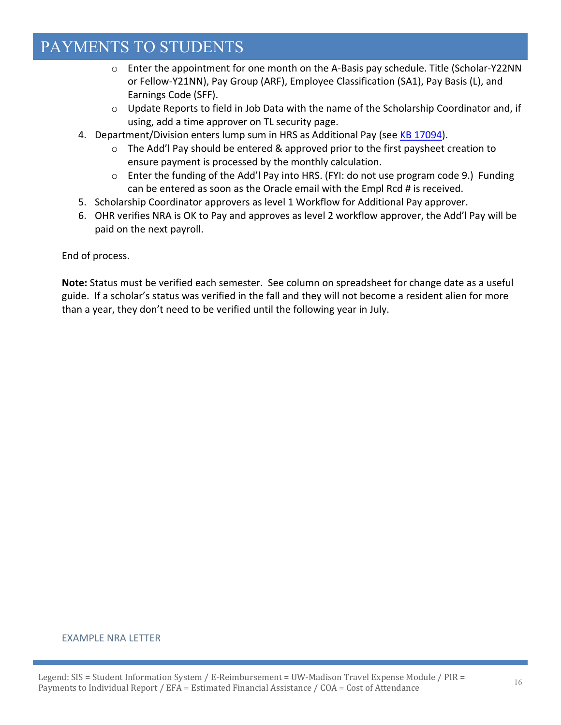- o Enter the appointment for one month on the A‐Basis pay schedule. Title (Scholar‐Y22NN or Fellow‐Y21NN), Pay Group (ARF), Employee Classification (SA1), Pay Basis (L), and Earnings Code (SFF).
- $\circ$  Update Reports to field in Job Data with the name of the Scholarship Coordinator and, if using, add a time approver on TL security page.
- 4. Department/Division enters lump sum in HRS as Additional Pay (see KB 17094).
	- o The Add'l Pay should be entered & approved prior to the first paysheet creation to ensure payment is processed by the monthly calculation.
	- $\circ$  Enter the funding of the Add'l Pay into HRS. (FYI: do not use program code 9.) Funding can be entered as soon as the Oracle email with the Empl Rcd # is received.
- 5. Scholarship Coordinator approvers as level 1 Workflow for Additional Pay approver.
- 6. OHR verifies NRA is OK to Pay and approves as level 2 workflow approver, the Add'l Pay will be paid on the next payroll.

End of process.

**Note:** Status must be verified each semester. See column on spreadsheet for change date as a useful guide. If a scholar's status was verified in the fall and they will not become a resident alien for more than a year, they don't need to be verified until the following year in July.

#### EXAMPLE NRA LETTER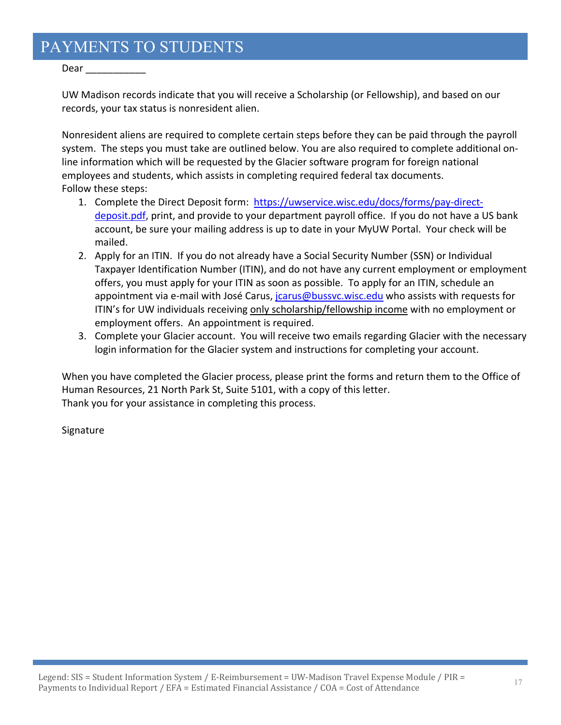Dear \_\_\_\_\_\_\_\_\_\_\_

UW Madison records indicate that you will receive a Scholarship (or Fellowship), and based on our records, your tax status is nonresident alien.

Nonresident aliens are required to complete certain steps before they can be paid through the payroll system. The steps you must take are outlined below. You are also required to complete additional on‐ line information which will be requested by the Glacier software program for foreign national employees and students, which assists in completing required federal tax documents. Follow these steps:

- 1. Complete the Direct Deposit form: https://uwservice.wisc.edu/docs/forms/pay-directdeposit.pdf, print, and provide to your department payroll office. If you do not have a US bank account, be sure your mailing address is up to date in your MyUW Portal. Your check will be mailed.
- 2. Apply for an ITIN. If you do not already have a Social Security Number (SSN) or Individual Taxpayer Identification Number (ITIN), and do not have any current employment or employment offers, you must apply for your ITIN as soon as possible. To apply for an ITIN, schedule an appointment via e-mail with José Carus, *jcarus@bussvc.wisc.edu* who assists with requests for ITIN's for UW individuals receiving only scholarship/fellowship income with no employment or employment offers. An appointment is required.
- 3. Complete your Glacier account. You will receive two emails regarding Glacier with the necessary login information for the Glacier system and instructions for completing your account.

When you have completed the Glacier process, please print the forms and return them to the Office of Human Resources, 21 North Park St, Suite 5101, with a copy of this letter. Thank you for your assistance in completing this process.

Signature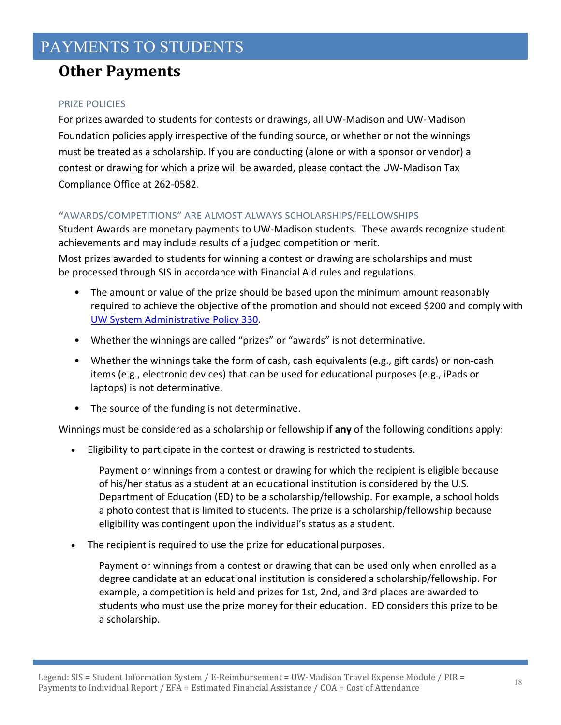# **Other Payments**

### PRIZE POLICIES

For prizes awarded to students for contests or drawings, all UW‐Madison and UW‐Madison Foundation policies apply irrespective of the funding source, or whether or not the winnings must be treated as a scholarship. If you are conducting (alone or with a sponsor or vendor) a contest or drawing for which a prize will be awarded, please contact the UW‐Madison Tax Compliance Office at 262‐0582.

### **"**AWARDS/COMPETITIONS" ARE ALMOST ALWAYS SCHOLARSHIPS/FELLOWSHIPS

Student Awards are monetary payments to UW‐Madison students. These awards recognize student achievements and may include results of a judged competition or merit.

Most prizes awarded to students for winning a contest or drawing are scholarships and must be processed through SIS in accordance with Financial Aid rules and regulations.

- The amount or value of the prize should be based upon the minimum amount reasonably required to achieve the objective of the promotion and should not exceed \$200 and comply with UW System Administrative Policy 330.
- Whether the winnings are called "prizes" or "awards" is not determinative.
- Whether the winnings take the form of cash, cash equivalents (e.g., gift cards) or non-cash items (e.g., electronic devices) that can be used for educational purposes (e.g., iPads or laptops) is not determinative.
- The source of the funding is not determinative.

Winnings must be considered as a scholarship or fellowship if **any** of the following conditions apply:

Eligibility to participate in the contest or drawing is restricted to students.

Payment or winnings from a contest or drawing for which the recipient is eligible because of his/her status as a student at an educational institution is considered by the U.S. Department of Education (ED) to be a scholarship/fellowship. For example, a school holds a photo contest that is limited to students. The prize is a scholarship/fellowship because eligibility was contingent upon the individual's status as a student.

The recipient is required to use the prize for educational purposes.

Payment or winnings from a contest or drawing that can be used only when enrolled as a degree candidate at an educational institution is considered a scholarship/fellowship. For example, a competition is held and prizes for 1st, 2nd, and 3rd places are awarded to students who must use the prize money for their education. ED considers this prize to be a scholarship.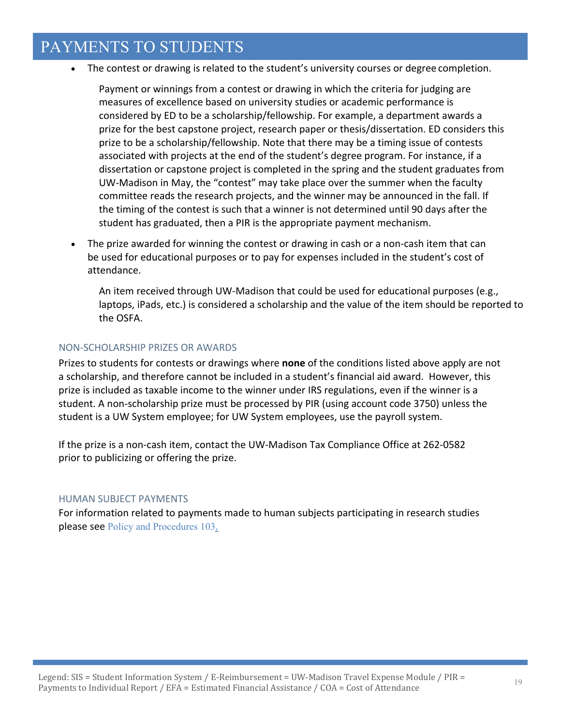The contest or drawing is related to the student's university courses or degree completion.

Payment or winnings from a contest or drawing in which the criteria for judging are measures of excellence based on university studies or academic performance is considered by ED to be a scholarship/fellowship. For example, a department awards a prize for the best capstone project, research paper or thesis/dissertation. ED considers this prize to be a scholarship/fellowship. Note that there may be a timing issue of contests associated with projects at the end of the student's degree program. For instance, if a dissertation or capstone project is completed in the spring and the student graduates from UW‐Madison in May, the "contest" may take place over the summer when the faculty committee reads the research projects, and the winner may be announced in the fall. If the timing of the contest is such that a winner is not determined until 90 days after the student has graduated, then a PIR is the appropriate payment mechanism.

■ The prize awarded for winning the contest or drawing in cash or a non-cash item that can be used for educational purposes or to pay for expenses included in the student's cost of attendance.

An item received through UW-Madison that could be used for educational purposes (e.g., laptops, iPads, etc.) is considered a scholarship and the value of the item should be reported to the OSFA.

#### NON‐SCHOLARSHIP PRIZES OR AWARDS

Prizes to students for contests or drawings where **none** of the conditions listed above apply are not a scholarship, and therefore cannot be included in a student's financial aid award. However, this prize is included as taxable income to the winner under IRS regulations, even if the winner is a student. A non‐scholarship prize must be processed by PIR (using account code 3750) unless the student is a UW System employee; for UW System employees, use the payroll system.

If the prize is a non‐cash item, contact the UW‐Madison Tax Compliance Office at 262‐0582 prior to publicizing or offering the prize.

#### HUMAN SUBJECT PAYMENTS

For information related to payments made to human subjects participating in research studies please see Policy and Procedures 103.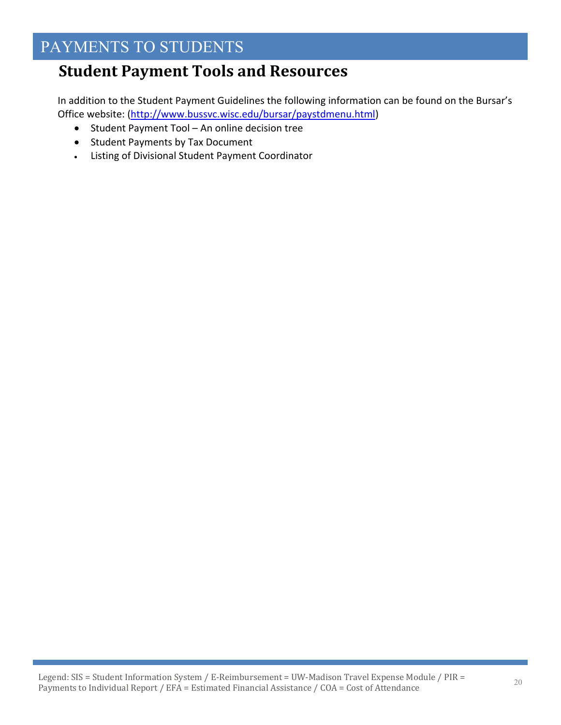# **Student Payment Tools and Resources**

In addition to the Student Payment Guidelines the following information can be found on the Bursar's Office website: (http://www.bussvc.wisc.edu/bursar/paystdmenu.html)

- Student Payment Tool An online decision tree
- Student Payments by Tax Document
- Listing of Divisional Student Payment Coordinator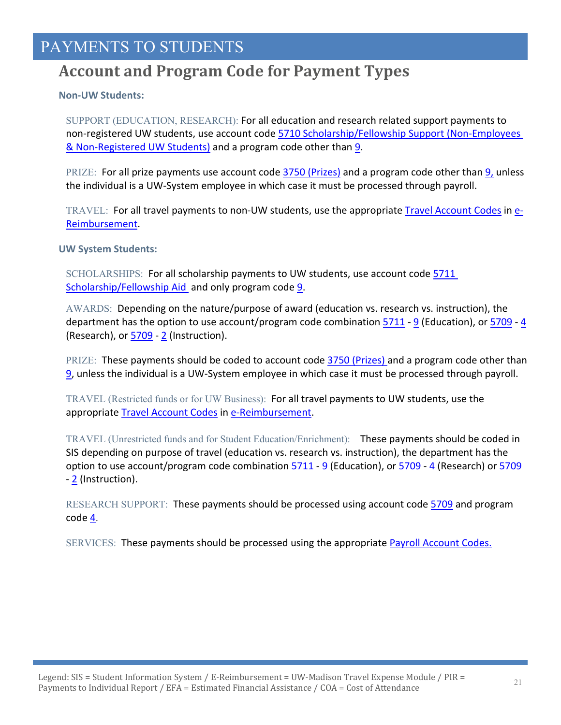# **Account and Program Code for Payment Types**

#### **Non‐UW Students:**

SUPPORT (EDUCATION, RESEARCH): For all education and research related support payments to non-registered UW students, use account code 5710 Scholarship/Fellowship Support (Non-Employees & Non‐Registered UW Students) and a program code other than 9.

PRIZE: For all prize payments use account code 3750 (Prizes) and a program code other than 9, unless the individual is a UW‐System employee in which case it must be processed through payroll.

TRAVEL: For all travel payments to non-UW students, use the appropriate Travel Account Codes in e-Reimbursement.

**UW System Students:**

SCHOLARSHIPS: For all scholarship payments to UW students, use account code 5711 Scholarship/Fellowship Aid and only program code 9.

AWARDS: Depending on the nature/purpose of award (education vs. research vs. instruction), the department has the option to use account/program code combination  $\frac{5711}{9}$  (Education), or  $\frac{5709}{4}$ (Research), or  $\frac{5709}{2}$  (Instruction).

PRIZE: These payments should be coded to account code 3750 (Prizes) and a program code other than 9, unless the individual is a UW‐System employee in which case it must be processed through payroll.

TRAVEL (Restricted funds or for UW Business): For all travel payments to UW students, use the appropriate Travel Account Codes in e‐Reimbursement.

TRAVEL (Unrestricted funds and for Student Education/Enrichment): These payments should be coded in SIS depending on purpose of travel (education vs. research vs. instruction), the department has the option to use account/program code combination 5711 ‐ 9 (Education), or 5709 ‐ 4 (Research) or 5709 ‐ 2 (Instruction).

RESEARCH SUPPORT: These payments should be processed using account code 5709 and program code  $\underline{4}$ .

SERVICES: These payments should be processed using the appropriate **Payroll Account Codes.**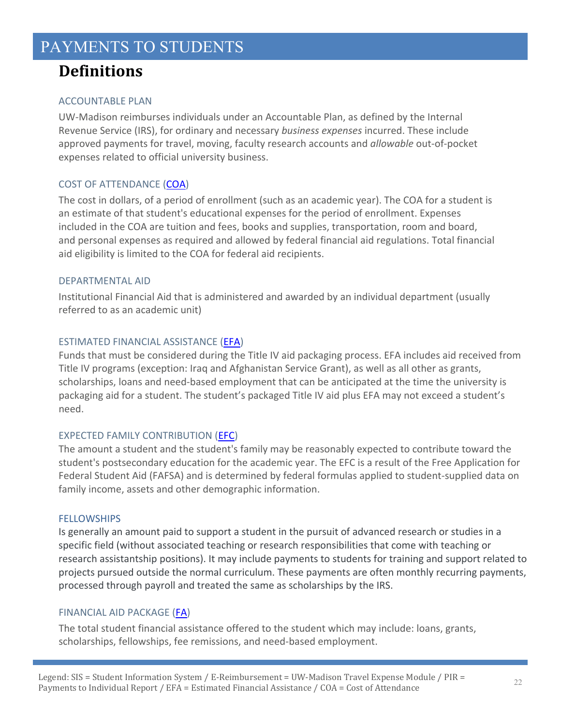# **Definitions**

### ACCOUNTABLE PLAN

UW‐Madison reimburses individuals under an Accountable Plan, as defined by the Internal Revenue Service (IRS), for ordinary and necessary *business expenses* incurred. These include approved payments for travel, moving, faculty research accounts and *allowable* out‐of‐pocket expenses related to official university business.

### COST OF ATTENDANCE (COA)

The cost in dollars, of a period of enrollment (such as an academic year). The COA for a student is an estimate of that student's educational expenses for the period of enrollment. Expenses included in the COA are tuition and fees, books and supplies, transportation, room and board, and personal expenses as required and allowed by federal financial aid regulations. Total financial aid eligibility is limited to the COA for federal aid recipients.

### DEPARTMENTAL AID

Institutional Financial Aid that is administered and awarded by an individual department (usually referred to as an academic unit)

### ESTIMATED FINANCIAL ASSISTANCE (EFA)

Funds that must be considered during the Title IV aid packaging process. EFA includes aid received from Title IV programs (exception: Iraq and Afghanistan Service Grant), as well as all other as grants, scholarships, loans and need-based employment that can be anticipated at the time the university is packaging aid for a student. The student's packaged Title IV aid plus EFA may not exceed a student's need.

### EXPECTED FAMILY CONTRIBUTION (EFC)

The amount a student and the student's family may be reasonably expected to contribute toward the student's postsecondary education for the academic year. The EFC is a result of the Free Application for Federal Student Aid (FAFSA) and is determined by federal formulas applied to student‐supplied data on family income, assets and other demographic information.

### **FELLOWSHIPS**

Is generally an amount paid to support a student in the pursuit of advanced research or studies in a specific field (without associated teaching or research responsibilities that come with teaching or research assistantship positions). It may include payments to students for training and support related to projects pursued outside the normal curriculum. These payments are often monthly recurring payments, processed through payroll and treated the same as scholarships by the IRS.

### FINANCIAL AID PACKAGE (FA)

The total student financial assistance offered to the student which may include: loans, grants, scholarships, fellowships, fee remissions, and need‐based employment.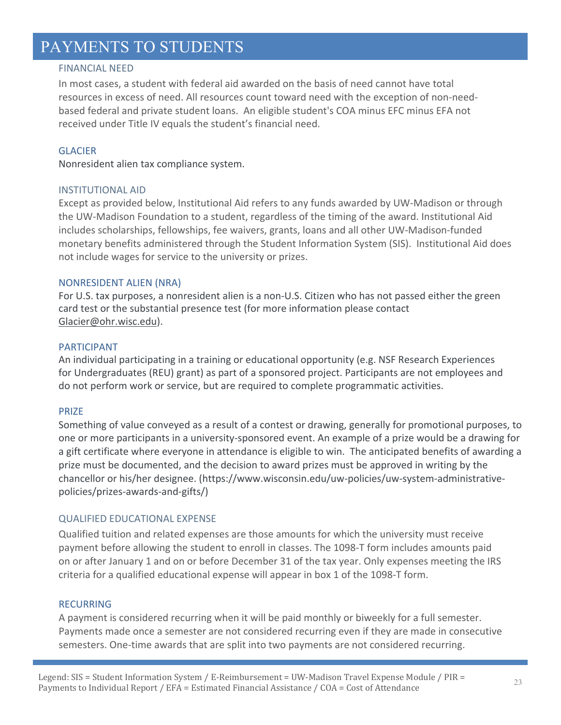### FINANCIAL NEED

In most cases, a student with federal aid awarded on the basis of need cannot have total resources in excess of need. All resources count toward need with the exception of non‐need‐ based federal and private student loans. An eligible student's COA minus EFC minus EFA not received under Title IV equals the student's financial need.

### **GLACIER**

Nonresident alien tax compliance system.

#### INSTITUTIONAL AID

Except as provided below, Institutional Aid refers to any funds awarded by UW‐Madison or through the UW‐Madison Foundation to a student, regardless of the timing of the award. Institutional Aid includes scholarships, fellowships, fee waivers, grants, loans and all other UW‐Madison‐funded monetary benefits administered through the Student Information System (SIS). Institutional Aid does not include wages for service to the university or prizes.

#### NONRESIDENT ALIEN (NRA)

For U.S. tax purposes, a nonresident alien is a non‐U.S. Citizen who has not passed either the green card test or the substantial presence test (for more information please contact Glacier@ohr.wisc.edu).

#### PARTICIPANT

An individual participating in a training or educational opportunity (e.g. NSF Research Experiences for Undergraduates (REU) grant) as part of a sponsored project. Participants are not employees and do not perform work or service, but are required to complete programmatic activities.

#### PRIZE

Something of value conveyed as a result of a contest or drawing, generally for promotional purposes, to one or more participants in a university‐sponsored event. An example of a prize would be a drawing for a gift certificate where everyone in attendance is eligible to win. The anticipated benefits of awarding a prize must be documented, and the decision to award prizes must be approved in writing by the chancellor or his/her designee. (https://www.wisconsin.edu/uw‐policies/uw‐system‐administrative‐ policies/prizes‐awards‐and‐gifts/)

#### QUALIFIED EDUCATIONAL EXPENSE

Qualified tuition and related expenses are those amounts for which the university must receive payment before allowing the student to enroll in classes. The 1098‐T form includes amounts paid on or after January 1 and on or before December 31 of the tax year. Only expenses meeting the IRS criteria for a qualified educational expense will appear in box 1 of the 1098‐T form.

#### **RECURRING**

A payment is considered recurring when it will be paid monthly or biweekly for a full semester. Payments made once a semester are not considered recurring even if they are made in consecutive semesters. One-time awards that are split into two payments are not considered recurring.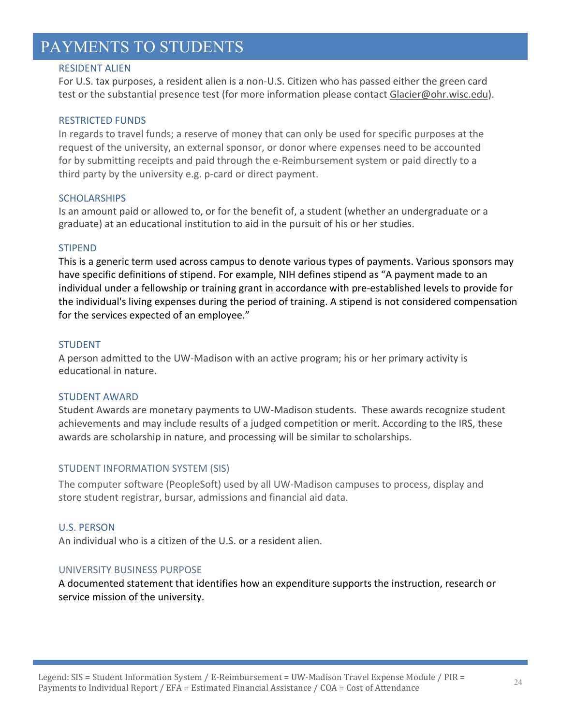#### RESIDENT ALIEN

For U.S. tax purposes, a resident alien is a non‐U.S. Citizen who has passed either the green card test or the substantial presence test (for more information please contact Glacier@ohr.wisc.edu).

#### RESTRICTED FUNDS

In regards to travel funds; a reserve of money that can only be used for specific purposes at the request of the university, an external sponsor, or donor where expenses need to be accounted for by submitting receipts and paid through the e-Reimbursement system or paid directly to a third party by the university e.g. p‐card or direct payment.

#### **SCHOLARSHIPS**

Is an amount paid or allowed to, or for the benefit of, a student (whether an undergraduate or a graduate) at an educational institution to aid in the pursuit of his or her studies.

#### STIPEND

This is a generic term used across campus to denote various types of payments. Various sponsors may have specific definitions of stipend. For example, NIH defines stipend as "A payment made to an individual under a fellowship or training grant in accordance with pre‐established levels to provide for the individual's living expenses during the period of training. A stipend is not considered compensation for the services expected of an employee."

#### STUDENT

A person admitted to the UW‐Madison with an active program; his or her primary activity is educational in nature.

#### STUDENT AWARD

Student Awards are monetary payments to UW‐Madison students. These awards recognize student achievements and may include results of a judged competition or merit. According to the IRS, these awards are scholarship in nature, and processing will be similar to scholarships.

#### STUDENT INFORMATION SYSTEM (SIS)

The computer software (PeopleSoft) used by all UW‐Madison campuses to process, display and store student registrar, bursar, admissions and financial aid data.

#### U.S. PERSON

An individual who is a citizen of the U.S. or a resident alien.

#### UNIVERSITY BUSINESS PURPOSE

A documented statement that identifies how an expenditure supports the instruction, research or service mission of the university.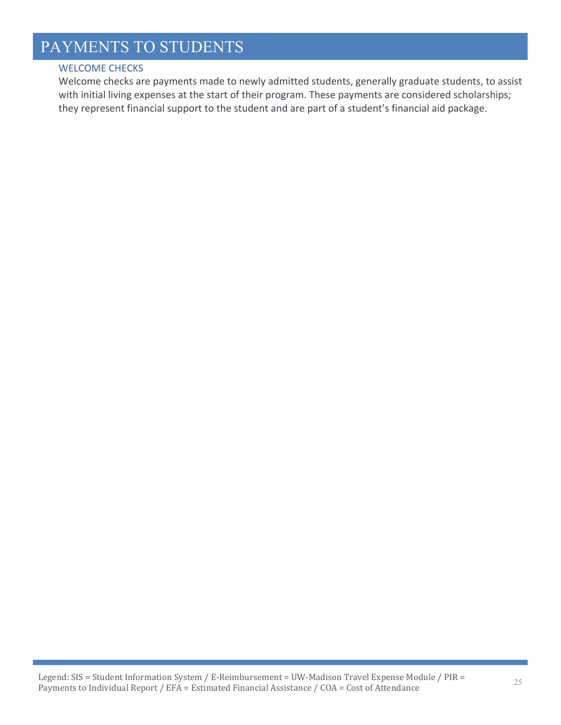### WELCOME CHECKS

Welcome checks are payments made to newly admitted students, generally graduate students, to assist with initial living expenses at the start of their program. These payments are considered scholarships; they represent financial support to the student and are part of a student's financial aid package.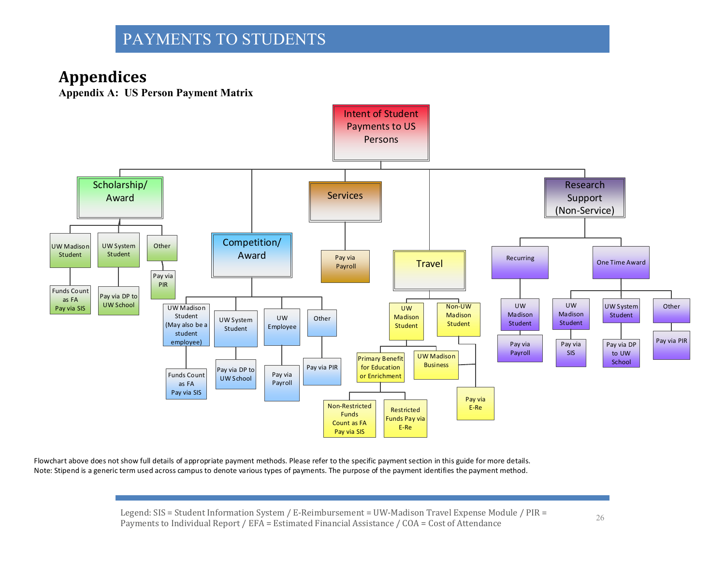# **Appendices**

**Appendix A: US Person Payment Matrix** 



Flowchart above does not show full details of appropriate payment methods. Please refer to the specific payment section in this guide for more details. Note: Stipend is <sup>a</sup> generic term used across campus to denote various types of payments. The purpose of the payment identifies the payment method.

> Legend: SIS = Student Information System / E-Reimbursement = UW-Madison Travel Expense Module / PIR = Legend. 515 – Student miorination System / E-Nemibursement – 0 w-Maurson Travel Expense Module / FIN –  $26$ <br>Payments to Individual Report / EFA = Estimated Financial Assistance / COA = Cost of Attendance